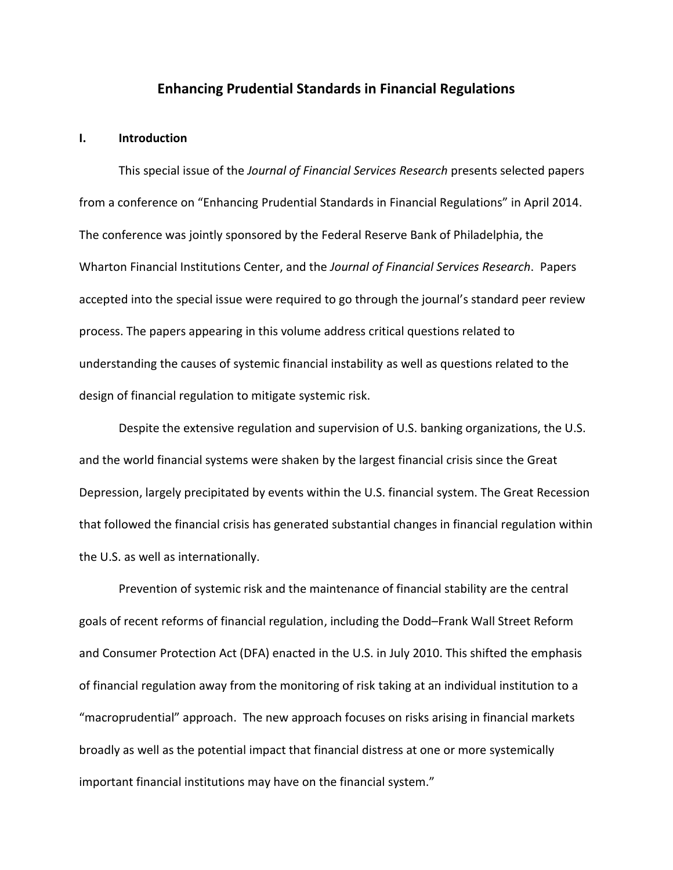## **Enhancing Prudential Standards in Financial Regulations**

### **I. Introduction**

This special issue of the *Journal of Financial Services Research* presents selected papers from a conference on "Enhancing Prudential Standards in Financial Regulations" in April 2014. The conference was jointly sponsored by the Federal Reserve Bank of Philadelphia, the Wharton Financial Institutions Center, and the *Journal of Financial Services Research*. Papers accepted into the special issue were required to go through the journal's standard peer review process. The papers appearing in this volume address critical questions related to understanding the causes of systemic financial instability as well as questions related to the design of financial regulation to mitigate systemic risk.

Despite the extensive regulation and supervision of U.S. banking organizations, the U.S. and the world financial systems were shaken by the largest financial crisis since the Great Depression, largely precipitated by events within the U.S. financial system. The Great Recession that followed the financial crisis has generated substantial changes in financial regulation within the U.S. as well as internationally.

Prevention of systemic risk and the maintenance of financial stability are the central goals of recent reforms of financial regulation, including the Dodd–Frank Wall Street Reform and Consumer Protection Act (DFA) enacted in the U.S. in July 2010. This shifted the emphasis of financial regulation away from the monitoring of risk taking at an individual institution to a "macroprudential" approach. The new approach focuses on risks arising in financial markets broadly as well as the potential impact that financial distress at one or more systemically important financial institutions may have on the financial system."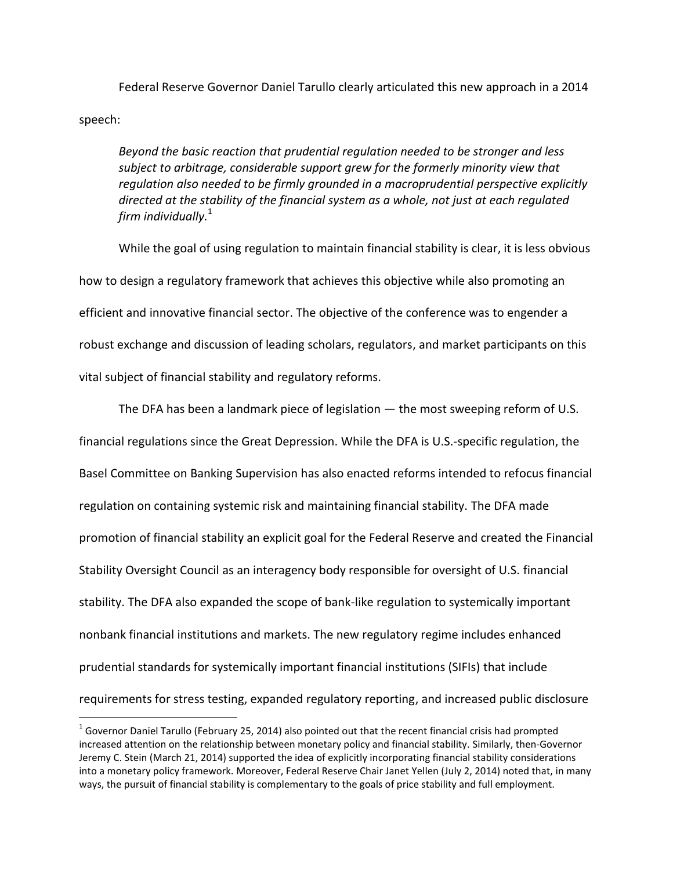Federal Reserve Governor Daniel Tarullo clearly articulated this new approach in a 2014 speech:

*Beyond the basic reaction that prudential regulation needed to be stronger and less subject to arbitrage, considerable support grew for the formerly minority view that regulation also needed to be firmly grounded in a macroprudential perspective explicitly directed at the stability of the financial system as a whole, not just at each regulated firm individually.* 1

While the goal of using regulation to maintain financial stability is clear, it is less obvious how to design a regulatory framework that achieves this objective while also promoting an efficient and innovative financial sector. The objective of the conference was to engender a robust exchange and discussion of leading scholars, regulators, and market participants on this vital subject of financial stability and regulatory reforms.

The DFA has been a landmark piece of legislation — the most sweeping reform of U.S. financial regulations since the Great Depression. While the DFA is U.S.-specific regulation, the Basel Committee on Banking Supervision has also enacted reforms intended to refocus financial regulation on containing systemic risk and maintaining financial stability. The DFA made promotion of financial stability an explicit goal for the Federal Reserve and created the Financial Stability Oversight Council as an interagency body responsible for oversight of U.S. financial stability. The DFA also expanded the scope of bank-like regulation to systemically important nonbank financial institutions and markets. The new regulatory regime includes enhanced prudential standards for systemically important financial institutions (SIFIs) that include requirements for stress testing, expanded regulatory reporting, and increased public disclosure

l

 $^1$  Governor Daniel Tarullo (February 25, 2014) also pointed out that the recent financial crisis had prompted increased attention on the relationship between monetary policy and financial stability. Similarly, then-Governor Jeremy C. Stein (March 21, 2014) supported the idea of explicitly incorporating financial stability considerations into a monetary policy framework. Moreover, Federal Reserve Chair Janet Yellen (July 2, 2014) noted that, in many ways, the pursuit of financial stability is complementary to the goals of price stability and full employment.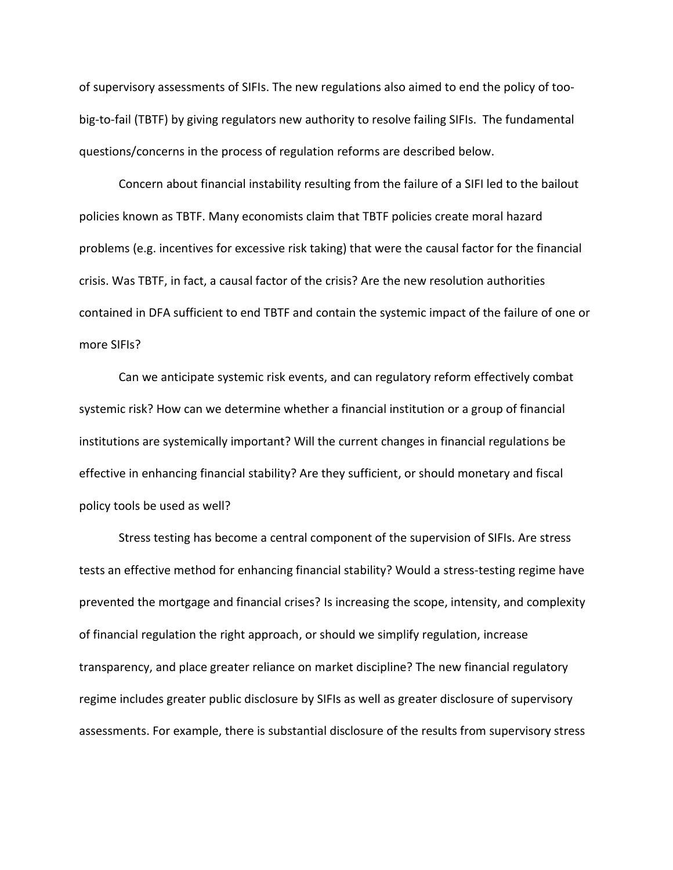of supervisory assessments of SIFIs. The new regulations also aimed to end the policy of toobig-to-fail (TBTF) by giving regulators new authority to resolve failing SIFIs. The fundamental questions/concerns in the process of regulation reforms are described below.

Concern about financial instability resulting from the failure of a SIFI led to the bailout policies known as TBTF. Many economists claim that TBTF policies create moral hazard problems (e.g. incentives for excessive risk taking) that were the causal factor for the financial crisis. Was TBTF, in fact, a causal factor of the crisis? Are the new resolution authorities contained in DFA sufficient to end TBTF and contain the systemic impact of the failure of one or more SIFIs?

Can we anticipate systemic risk events, and can regulatory reform effectively combat systemic risk? How can we determine whether a financial institution or a group of financial institutions are systemically important? Will the current changes in financial regulations be effective in enhancing financial stability? Are they sufficient, or should monetary and fiscal policy tools be used as well?

Stress testing has become a central component of the supervision of SIFIs. Are stress tests an effective method for enhancing financial stability? Would a stress-testing regime have prevented the mortgage and financial crises? Is increasing the scope, intensity, and complexity of financial regulation the right approach, or should we simplify regulation, increase transparency, and place greater reliance on market discipline? The new financial regulatory regime includes greater public disclosure by SIFIs as well as greater disclosure of supervisory assessments. For example, there is substantial disclosure of the results from supervisory stress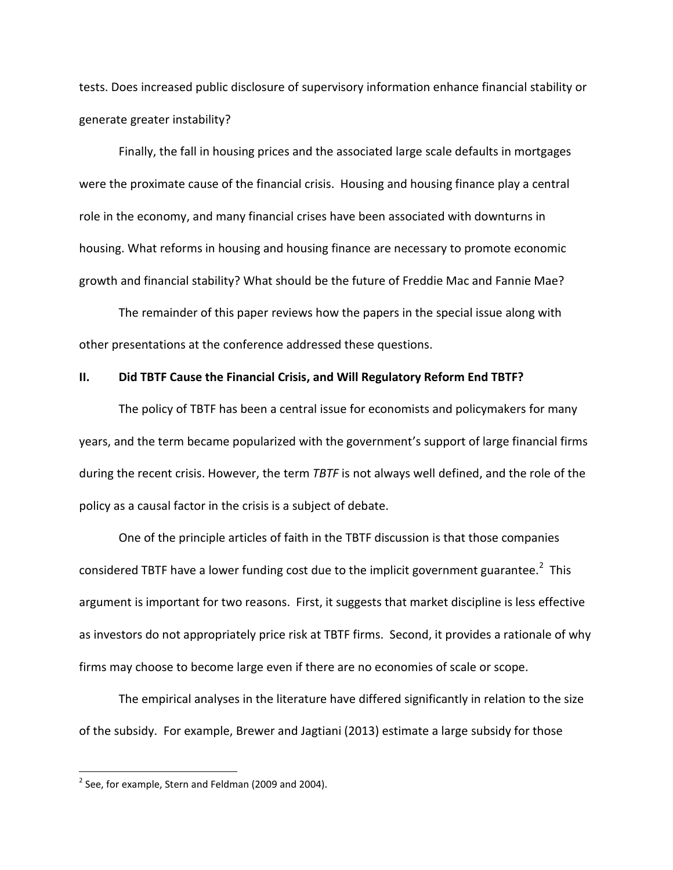tests. Does increased public disclosure of supervisory information enhance financial stability or generate greater instability?

Finally, the fall in housing prices and the associated large scale defaults in mortgages were the proximate cause of the financial crisis. Housing and housing finance play a central role in the economy, and many financial crises have been associated with downturns in housing. What reforms in housing and housing finance are necessary to promote economic growth and financial stability? What should be the future of Freddie Mac and Fannie Mae?

The remainder of this paper reviews how the papers in the special issue along with other presentations at the conference addressed these questions.

### **II. Did TBTF Cause the Financial Crisis, and Will Regulatory Reform End TBTF?**

The policy of TBTF has been a central issue for economists and policymakers for many years, and the term became popularized with the government's support of large financial firms during the recent crisis. However, the term *TBTF* is not always well defined, and the role of the policy as a causal factor in the crisis is a subject of debate.

One of the principle articles of faith in the TBTF discussion is that those companies considered TBTF have a lower funding cost due to the implicit government guarantee.<sup>2</sup> This argument is important for two reasons. First, it suggests that market discipline is less effective as investors do not appropriately price risk at TBTF firms. Second, it provides a rationale of why firms may choose to become large even if there are no economies of scale or scope.

The empirical analyses in the literature have differed significantly in relation to the size of the subsidy. For example, Brewer and Jagtiani (2013) estimate a large subsidy for those

 $2$  See, for example, Stern and Feldman (2009 and 2004).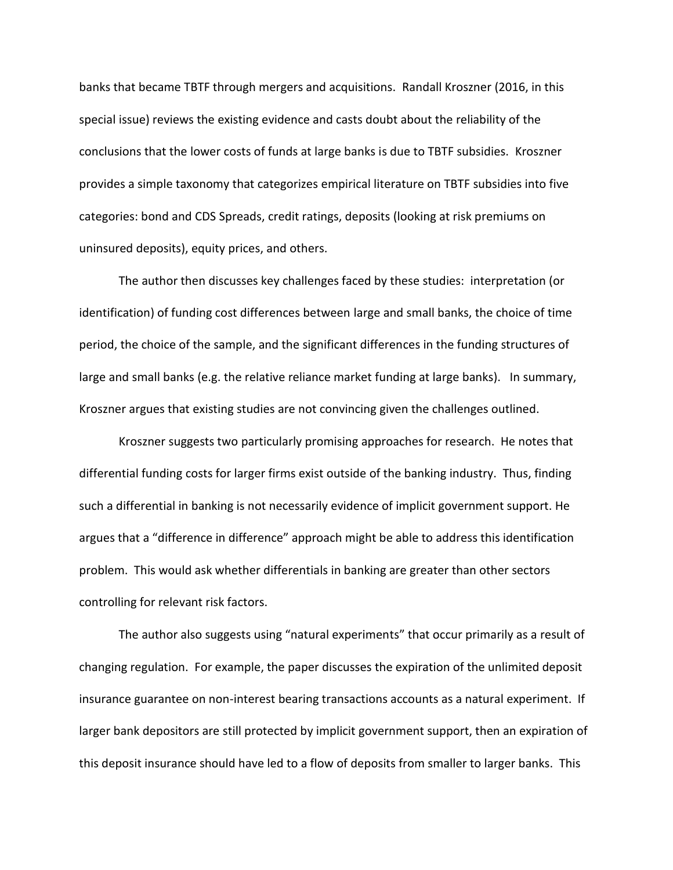banks that became TBTF through mergers and acquisitions. Randall Kroszner (2016, in this special issue) reviews the existing evidence and casts doubt about the reliability of the conclusions that the lower costs of funds at large banks is due to TBTF subsidies. Kroszner provides a simple taxonomy that categorizes empirical literature on TBTF subsidies into five categories: bond and CDS Spreads, credit ratings, deposits (looking at risk premiums on uninsured deposits), equity prices, and others.

The author then discusses key challenges faced by these studies: interpretation (or identification) of funding cost differences between large and small banks, the choice of time period, the choice of the sample, and the significant differences in the funding structures of large and small banks (e.g. the relative reliance market funding at large banks). In summary, Kroszner argues that existing studies are not convincing given the challenges outlined.

Kroszner suggests two particularly promising approaches for research. He notes that differential funding costs for larger firms exist outside of the banking industry. Thus, finding such a differential in banking is not necessarily evidence of implicit government support. He argues that a "difference in difference" approach might be able to address this identification problem. This would ask whether differentials in banking are greater than other sectors controlling for relevant risk factors.

The author also suggests using "natural experiments" that occur primarily as a result of changing regulation. For example, the paper discusses the expiration of the unlimited deposit insurance guarantee on non-interest bearing transactions accounts as a natural experiment. If larger bank depositors are still protected by implicit government support, then an expiration of this deposit insurance should have led to a flow of deposits from smaller to larger banks. This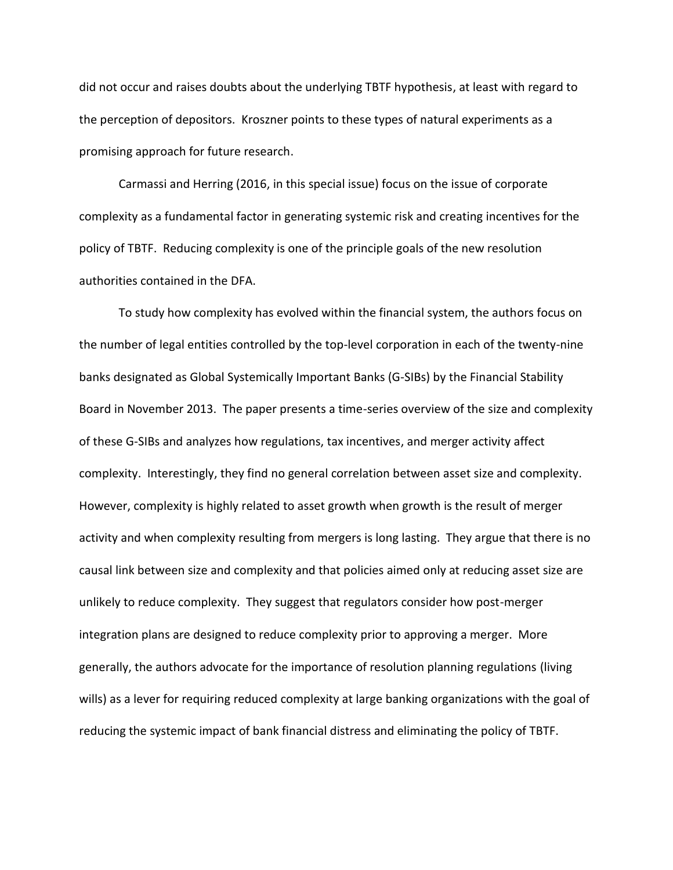did not occur and raises doubts about the underlying TBTF hypothesis, at least with regard to the perception of depositors. Kroszner points to these types of natural experiments as a promising approach for future research.

Carmassi and Herring (2016, in this special issue) focus on the issue of corporate complexity as a fundamental factor in generating systemic risk and creating incentives for the policy of TBTF. Reducing complexity is one of the principle goals of the new resolution authorities contained in the DFA.

To study how complexity has evolved within the financial system, the authors focus on the number of legal entities controlled by the top-level corporation in each of the twenty-nine banks designated as Global Systemically Important Banks (G-SIBs) by the Financial Stability Board in November 2013. The paper presents a time-series overview of the size and complexity of these G-SIBs and analyzes how regulations, tax incentives, and merger activity affect complexity. Interestingly, they find no general correlation between asset size and complexity. However, complexity is highly related to asset growth when growth is the result of merger activity and when complexity resulting from mergers is long lasting. They argue that there is no causal link between size and complexity and that policies aimed only at reducing asset size are unlikely to reduce complexity. They suggest that regulators consider how post-merger integration plans are designed to reduce complexity prior to approving a merger. More generally, the authors advocate for the importance of resolution planning regulations (living wills) as a lever for requiring reduced complexity at large banking organizations with the goal of reducing the systemic impact of bank financial distress and eliminating the policy of TBTF.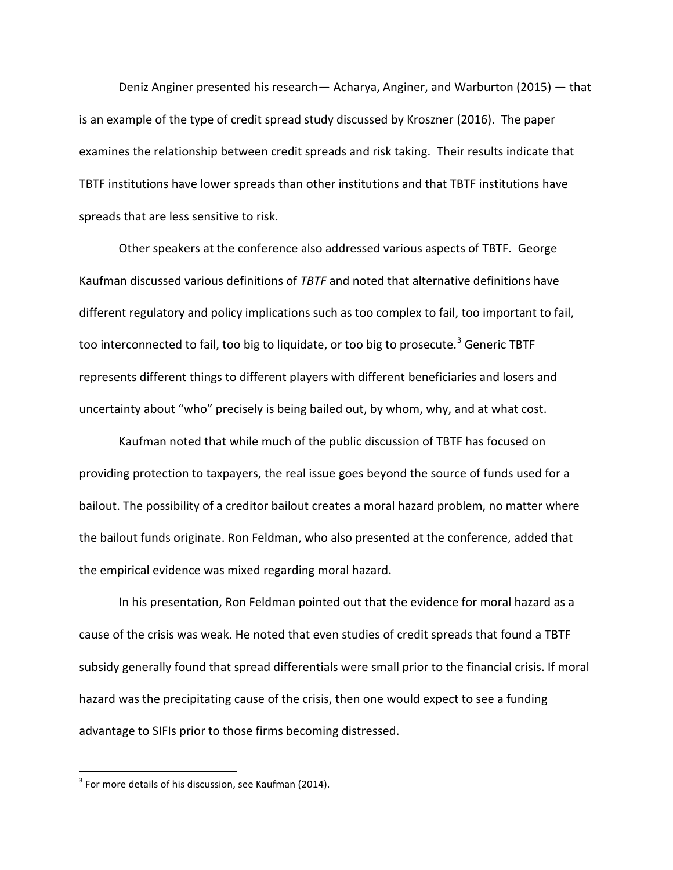Deniz Anginer presented his research— Acharya, Anginer, and Warburton (2015) — that is an example of the type of credit spread study discussed by Kroszner (2016). The paper examines the relationship between credit spreads and risk taking. Their results indicate that TBTF institutions have lower spreads than other institutions and that TBTF institutions have spreads that are less sensitive to risk.

Other speakers at the conference also addressed various aspects of TBTF. George Kaufman discussed various definitions of *TBTF* and noted that alternative definitions have different regulatory and policy implications such as too complex to fail, too important to fail, too interconnected to fail, too big to liquidate, or too big to prosecute.<sup>3</sup> Generic TBTF represents different things to different players with different beneficiaries and losers and uncertainty about "who" precisely is being bailed out, by whom, why, and at what cost.

Kaufman noted that while much of the public discussion of TBTF has focused on providing protection to taxpayers, the real issue goes beyond the source of funds used for a bailout. The possibility of a creditor bailout creates a moral hazard problem, no matter where the bailout funds originate. Ron Feldman, who also presented at the conference, added that the empirical evidence was mixed regarding moral hazard.

In his presentation, Ron Feldman pointed out that the evidence for moral hazard as a cause of the crisis was weak. He noted that even studies of credit spreads that found a TBTF subsidy generally found that spread differentials were small prior to the financial crisis. If moral hazard was the precipitating cause of the crisis, then one would expect to see a funding advantage to SIFIs prior to those firms becoming distressed.

 $3$  For more details of his discussion, see Kaufman (2014).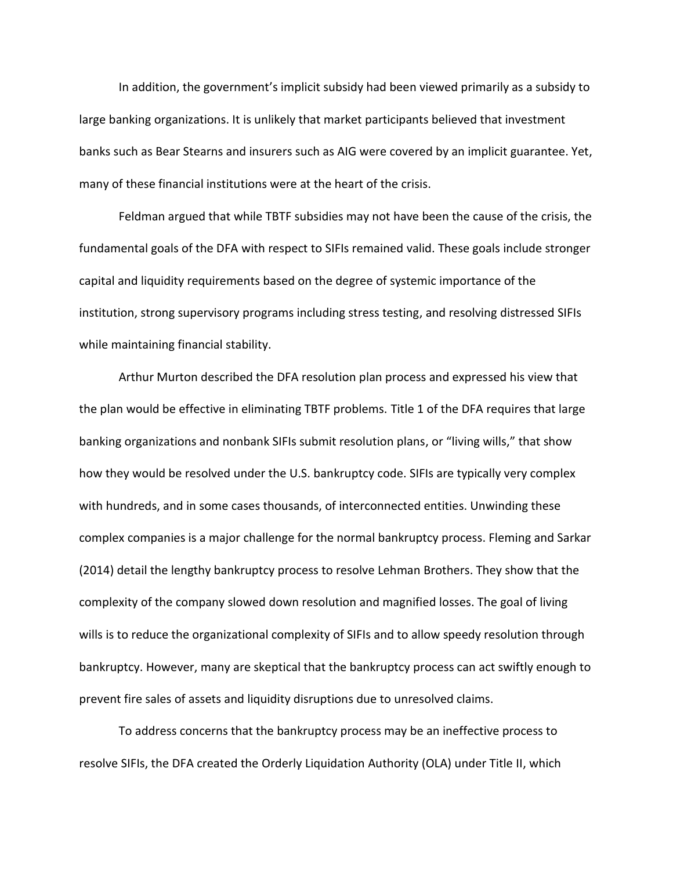In addition, the government's implicit subsidy had been viewed primarily as a subsidy to large banking organizations. It is unlikely that market participants believed that investment banks such as Bear Stearns and insurers such as AIG were covered by an implicit guarantee. Yet, many of these financial institutions were at the heart of the crisis.

Feldman argued that while TBTF subsidies may not have been the cause of the crisis, the fundamental goals of the DFA with respect to SIFIs remained valid. These goals include stronger capital and liquidity requirements based on the degree of systemic importance of the institution, strong supervisory programs including stress testing, and resolving distressed SIFIs while maintaining financial stability.

Arthur Murton described the DFA resolution plan process and expressed his view that the plan would be effective in eliminating TBTF problems. Title 1 of the DFA requires that large banking organizations and nonbank SIFIs submit resolution plans, or "living wills," that show how they would be resolved under the U.S. bankruptcy code. SIFIs are typically very complex with hundreds, and in some cases thousands, of interconnected entities. Unwinding these complex companies is a major challenge for the normal bankruptcy process. Fleming and Sarkar (2014) detail the lengthy bankruptcy process to resolve Lehman Brothers. They show that the complexity of the company slowed down resolution and magnified losses. The goal of living wills is to reduce the organizational complexity of SIFIs and to allow speedy resolution through bankruptcy. However, many are skeptical that the bankruptcy process can act swiftly enough to prevent fire sales of assets and liquidity disruptions due to unresolved claims.

To address concerns that the bankruptcy process may be an ineffective process to resolve SIFIs, the DFA created the Orderly Liquidation Authority (OLA) under Title II, which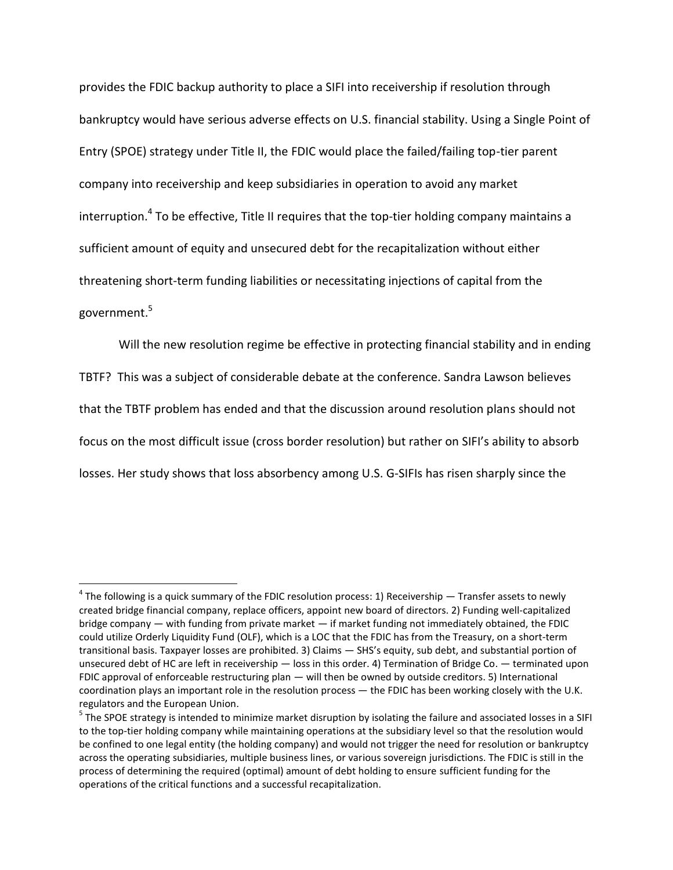provides the FDIC backup authority to place a SIFI into receivership if resolution through bankruptcy would have serious adverse effects on U.S. financial stability. Using a Single Point of Entry (SPOE) strategy under Title II, the FDIC would place the failed/failing top-tier parent company into receivership and keep subsidiaries in operation to avoid any market interruption.<sup>4</sup> To be effective, Title II requires that the top-tier holding company maintains a sufficient amount of equity and unsecured debt for the recapitalization without either threatening short-term funding liabilities or necessitating injections of capital from the government.<sup>5</sup>

Will the new resolution regime be effective in protecting financial stability and in ending TBTF? This was a subject of considerable debate at the conference. Sandra Lawson believes that the TBTF problem has ended and that the discussion around resolution plans should not focus on the most difficult issue (cross border resolution) but rather on SIFI's ability to absorb losses. Her study shows that loss absorbency among U.S. G-SIFIs has risen sharply since the

 $^4$  The following is a quick summary of the FDIC resolution process: 1) Receivership — Transfer assets to newly created bridge financial company, replace officers, appoint new board of directors. 2) Funding well-capitalized bridge company — with funding from private market — if market funding not immediately obtained, the FDIC could utilize Orderly Liquidity Fund (OLF), which is a LOC that the FDIC has from the Treasury, on a short-term transitional basis. Taxpayer losses are prohibited. 3) Claims — SHS's equity, sub debt, and substantial portion of unsecured debt of HC are left in receivership — loss in this order. 4) Termination of Bridge Co. — terminated upon FDIC approval of enforceable restructuring plan — will then be owned by outside creditors. 5) International coordination plays an important role in the resolution process — the FDIC has been working closely with the U.K. regulators and the European Union.

<sup>&</sup>lt;sup>5</sup> The SPOE strategy is intended to minimize market disruption by isolating the failure and associated losses in a SIFI to the top-tier holding company while maintaining operations at the subsidiary level so that the resolution would be confined to one legal entity (the holding company) and would not trigger the need for resolution or bankruptcy across the operating subsidiaries, multiple business lines, or various sovereign jurisdictions. The FDIC is still in the process of determining the required (optimal) amount of debt holding to ensure sufficient funding for the operations of the critical functions and a successful recapitalization.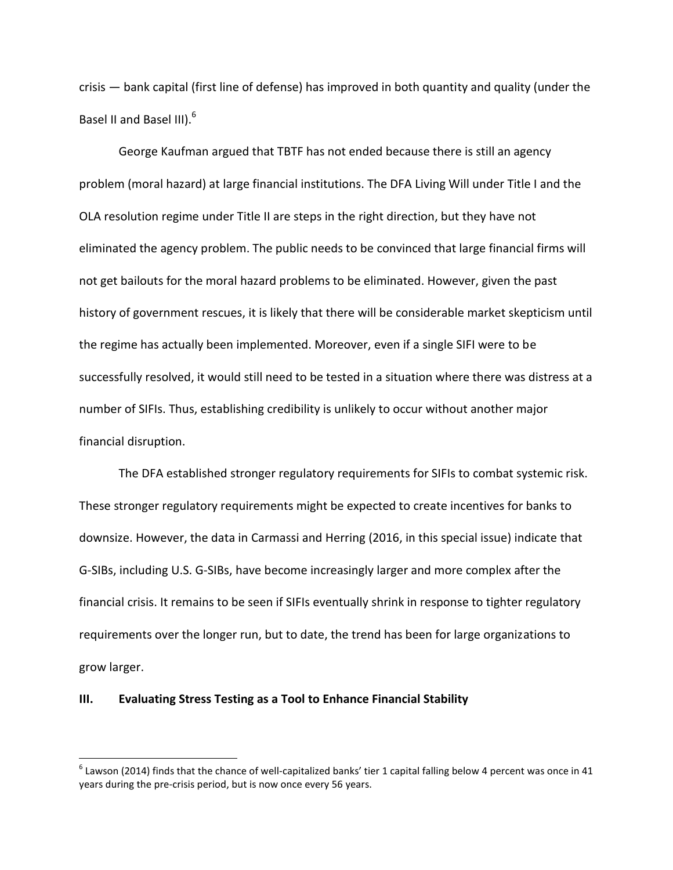crisis — bank capital (first line of defense) has improved in both quantity and quality (under the Basel II and Basel III).<sup>6</sup>

George Kaufman argued that TBTF has not ended because there is still an agency problem (moral hazard) at large financial institutions. The DFA Living Will under Title I and the OLA resolution regime under Title II are steps in the right direction, but they have not eliminated the agency problem. The public needs to be convinced that large financial firms will not get bailouts for the moral hazard problems to be eliminated. However, given the past history of government rescues, it is likely that there will be considerable market skepticism until the regime has actually been implemented. Moreover, even if a single SIFI were to be successfully resolved, it would still need to be tested in a situation where there was distress at a number of SIFIs. Thus, establishing credibility is unlikely to occur without another major financial disruption.

The DFA established stronger regulatory requirements for SIFIs to combat systemic risk. These stronger regulatory requirements might be expected to create incentives for banks to downsize. However, the data in Carmassi and Herring (2016, in this special issue) indicate that G-SIBs, including U.S. G-SIBs, have become increasingly larger and more complex after the financial crisis. It remains to be seen if SIFIs eventually shrink in response to tighter regulatory requirements over the longer run, but to date, the trend has been for large organizations to grow larger.

### **III. Evaluating Stress Testing as a Tool to Enhance Financial Stability**

l

 $^6$  Lawson (2014) finds that the chance of well-capitalized banks' tier 1 capital falling below 4 percent was once in 41 years during the pre-crisis period, but is now once every 56 years.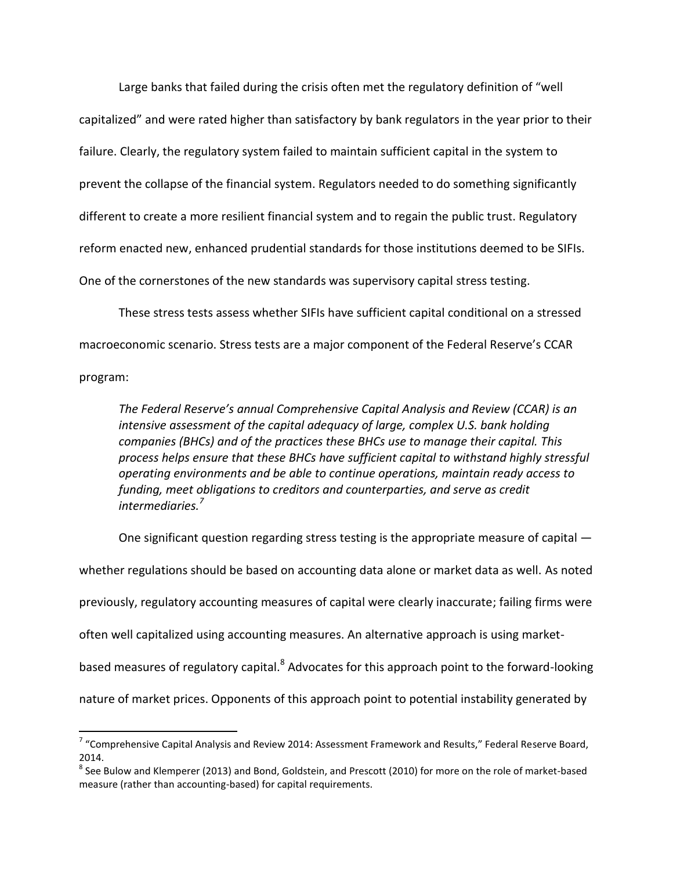Large banks that failed during the crisis often met the regulatory definition of "well capitalized" and were rated higher than satisfactory by bank regulators in the year prior to their failure. Clearly, the regulatory system failed to maintain sufficient capital in the system to prevent the collapse of the financial system. Regulators needed to do something significantly different to create a more resilient financial system and to regain the public trust. Regulatory reform enacted new, enhanced prudential standards for those institutions deemed to be SIFIs. One of the cornerstones of the new standards was supervisory capital stress testing.

These stress tests assess whether SIFIs have sufficient capital conditional on a stressed macroeconomic scenario. Stress tests are a major component of the Federal Reserve's CCAR program:

*The Federal Reserve's annual Comprehensive Capital Analysis and Review (CCAR) is an intensive assessment of the capital adequacy of large, complex U.S. bank holding companies (BHCs) and of the practices these BHCs use to manage their capital. This process helps ensure that these BHCs have sufficient capital to withstand highly stressful operating environments and be able to continue operations, maintain ready access to funding, meet obligations to creditors and counterparties, and serve as credit intermediaries.<sup>7</sup>*

One significant question regarding stress testing is the appropriate measure of capital whether regulations should be based on accounting data alone or market data as well. As noted previously, regulatory accounting measures of capital were clearly inaccurate; failing firms were often well capitalized using accounting measures. An alternative approach is using marketbased measures of regulatory capital.<sup>8</sup> Advocates for this approach point to the forward-looking nature of market prices. Opponents of this approach point to potential instability generated by

 $\overline{a}$ 

 $^7$  "Comprehensive Capital Analysis and Review 2014: Assessment Framework and Results," Federal Reserve Board, 2014.

 $^8$  See Bulow and Klemperer (2013) and Bond, Goldstein, and Prescott (2010) for more on the role of market-based measure (rather than accounting-based) for capital requirements.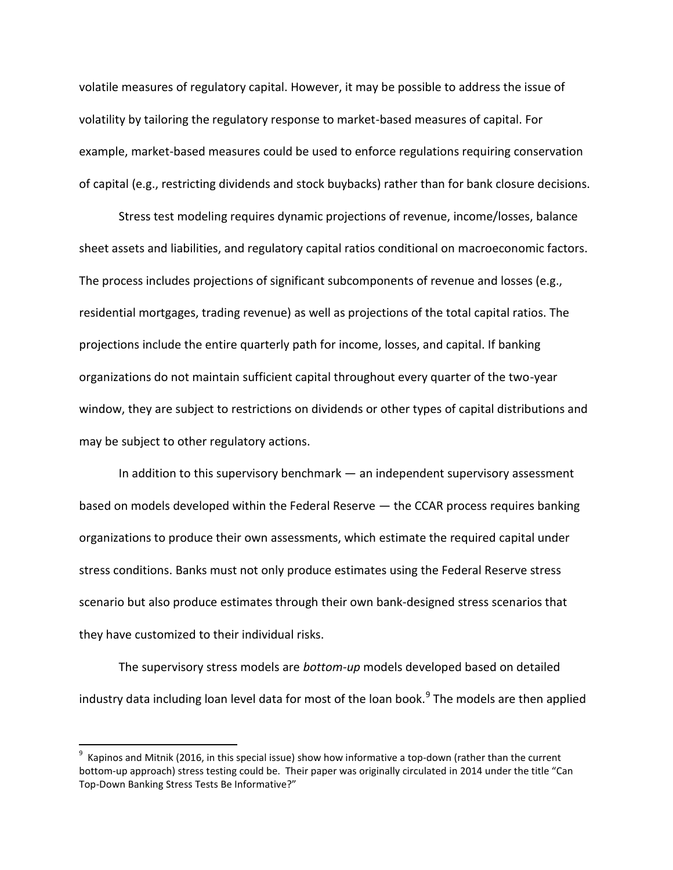volatile measures of regulatory capital. However, it may be possible to address the issue of volatility by tailoring the regulatory response to market-based measures of capital. For example, market-based measures could be used to enforce regulations requiring conservation of capital (e.g., restricting dividends and stock buybacks) rather than for bank closure decisions.

Stress test modeling requires dynamic projections of revenue, income/losses, balance sheet assets and liabilities, and regulatory capital ratios conditional on macroeconomic factors. The process includes projections of significant subcomponents of revenue and losses (e.g., residential mortgages, trading revenue) as well as projections of the total capital ratios. The projections include the entire quarterly path for income, losses, and capital. If banking organizations do not maintain sufficient capital throughout every quarter of the two-year window, they are subject to restrictions on dividends or other types of capital distributions and may be subject to other regulatory actions.

In addition to this supervisory benchmark — an independent supervisory assessment based on models developed within the Federal Reserve — the CCAR process requires banking organizations to produce their own assessments, which estimate the required capital under stress conditions. Banks must not only produce estimates using the Federal Reserve stress scenario but also produce estimates through their own bank-designed stress scenarios that they have customized to their individual risks.

The supervisory stress models are *bottom-up* models developed based on detailed industry data including loan level data for most of the loan book.<sup>9</sup> The models are then applied

 $^9$  Kapinos and Mitnik (2016, in this special issue) show how informative a top-down (rather than the current bottom-up approach) stress testing could be. Their paper was originally circulated in 2014 under the title "Can Top-Down Banking Stress Tests Be Informative?"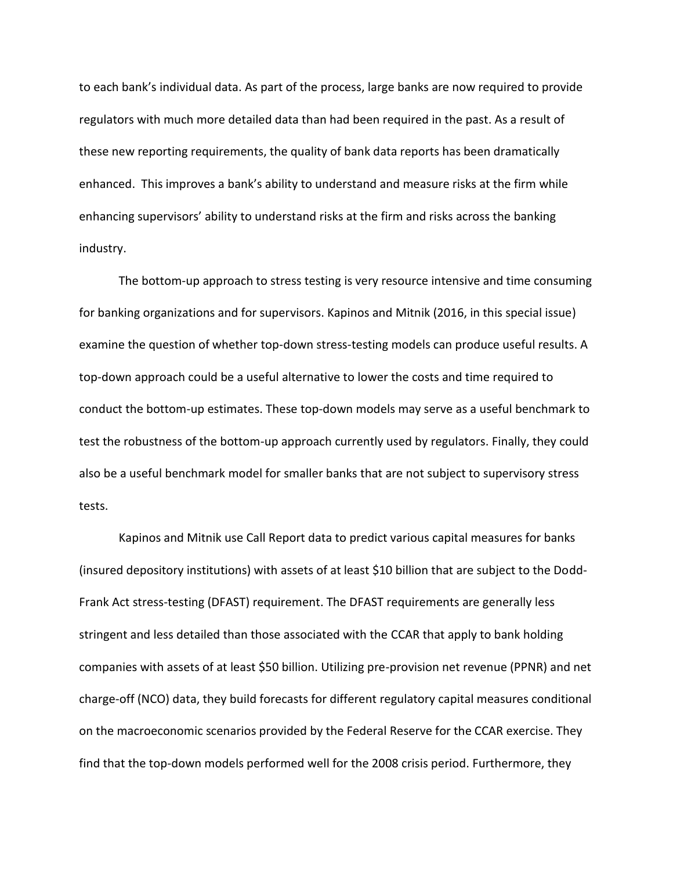to each bank's individual data. As part of the process, large banks are now required to provide regulators with much more detailed data than had been required in the past. As a result of these new reporting requirements, the quality of bank data reports has been dramatically enhanced. This improves a bank's ability to understand and measure risks at the firm while enhancing supervisors' ability to understand risks at the firm and risks across the banking industry.

The bottom-up approach to stress testing is very resource intensive and time consuming for banking organizations and for supervisors. Kapinos and Mitnik (2016, in this special issue) examine the question of whether top-down stress-testing models can produce useful results. A top-down approach could be a useful alternative to lower the costs and time required to conduct the bottom-up estimates. These top-down models may serve as a useful benchmark to test the robustness of the bottom-up approach currently used by regulators. Finally, they could also be a useful benchmark model for smaller banks that are not subject to supervisory stress tests.

Kapinos and Mitnik use Call Report data to predict various capital measures for banks (insured depository institutions) with assets of at least \$10 billion that are subject to the Dodd-Frank Act stress-testing (DFAST) requirement. The DFAST requirements are generally less stringent and less detailed than those associated with the CCAR that apply to bank holding companies with assets of at least \$50 billion. Utilizing pre-provision net revenue (PPNR) and net charge-off (NCO) data, they build forecasts for different regulatory capital measures conditional on the macroeconomic scenarios provided by the Federal Reserve for the CCAR exercise. They find that the top-down models performed well for the 2008 crisis period. Furthermore, they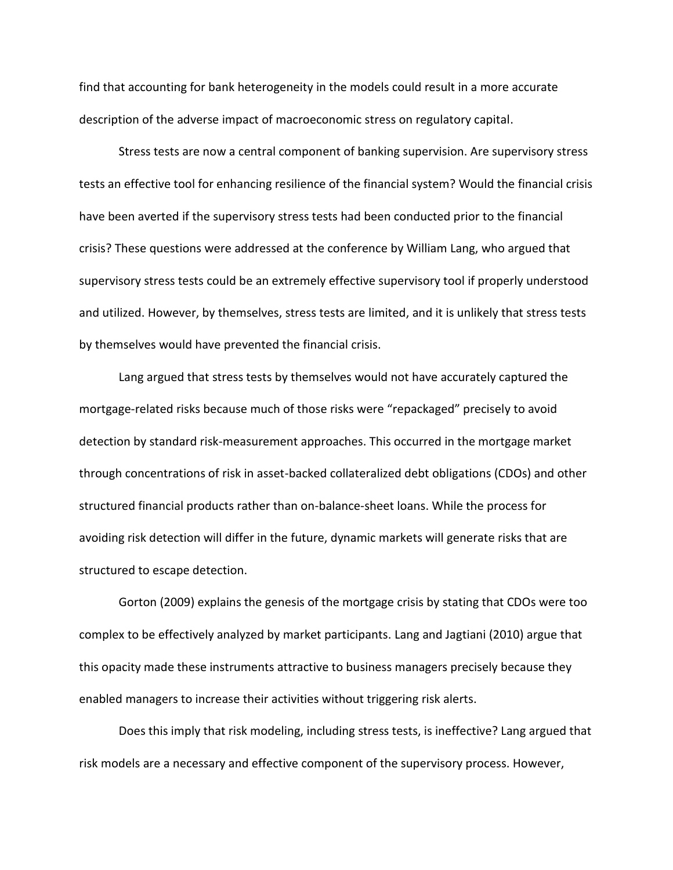find that accounting for bank heterogeneity in the models could result in a more accurate description of the adverse impact of macroeconomic stress on regulatory capital.

Stress tests are now a central component of banking supervision. Are supervisory stress tests an effective tool for enhancing resilience of the financial system? Would the financial crisis have been averted if the supervisory stress tests had been conducted prior to the financial crisis? These questions were addressed at the conference by William Lang, who argued that supervisory stress tests could be an extremely effective supervisory tool if properly understood and utilized. However, by themselves, stress tests are limited, and it is unlikely that stress tests by themselves would have prevented the financial crisis.

Lang argued that stress tests by themselves would not have accurately captured the mortgage-related risks because much of those risks were "repackaged" precisely to avoid detection by standard risk-measurement approaches. This occurred in the mortgage market through concentrations of risk in asset-backed collateralized debt obligations (CDOs) and other structured financial products rather than on-balance-sheet loans. While the process for avoiding risk detection will differ in the future, dynamic markets will generate risks that are structured to escape detection.

Gorton (2009) explains the genesis of the mortgage crisis by stating that CDOs were too complex to be effectively analyzed by market participants. Lang and Jagtiani (2010) argue that this opacity made these instruments attractive to business managers precisely because they enabled managers to increase their activities without triggering risk alerts.

Does this imply that risk modeling, including stress tests, is ineffective? Lang argued that risk models are a necessary and effective component of the supervisory process. However,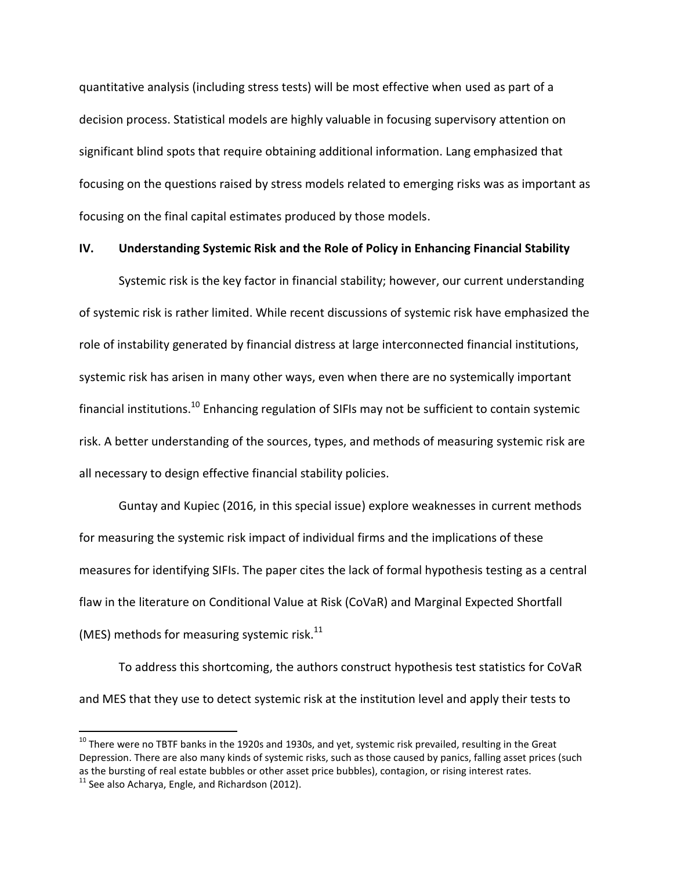quantitative analysis (including stress tests) will be most effective when used as part of a decision process. Statistical models are highly valuable in focusing supervisory attention on significant blind spots that require obtaining additional information. Lang emphasized that focusing on the questions raised by stress models related to emerging risks was as important as focusing on the final capital estimates produced by those models.

## **IV. Understanding Systemic Risk and the Role of Policy in Enhancing Financial Stability**

Systemic risk is the key factor in financial stability; however, our current understanding of systemic risk is rather limited. While recent discussions of systemic risk have emphasized the role of instability generated by financial distress at large interconnected financial institutions, systemic risk has arisen in many other ways, even when there are no systemically important financial institutions.<sup>10</sup> Enhancing regulation of SIFIs may not be sufficient to contain systemic risk. A better understanding of the sources, types, and methods of measuring systemic risk are all necessary to design effective financial stability policies.

Guntay and Kupiec (2016, in this special issue) explore weaknesses in current methods for measuring the systemic risk impact of individual firms and the implications of these measures for identifying SIFIs. The paper cites the lack of formal hypothesis testing as a central flaw in the literature on Conditional Value at Risk (CoVaR) and Marginal Expected Shortfall (MES) methods for measuring systemic risk.<sup>11</sup>

To address this shortcoming, the authors construct hypothesis test statistics for CoVaR and MES that they use to detect systemic risk at the institution level and apply their tests to

 $\overline{a}$ 

 $^{10}$  There were no TBTF banks in the 1920s and 1930s, and yet, systemic risk prevailed, resulting in the Great Depression. There are also many kinds of systemic risks, such as those caused by panics, falling asset prices (such as the bursting of real estate bubbles or other asset price bubbles), contagion, or rising interest rates.  $11$  See also Acharya, Engle, and Richardson (2012).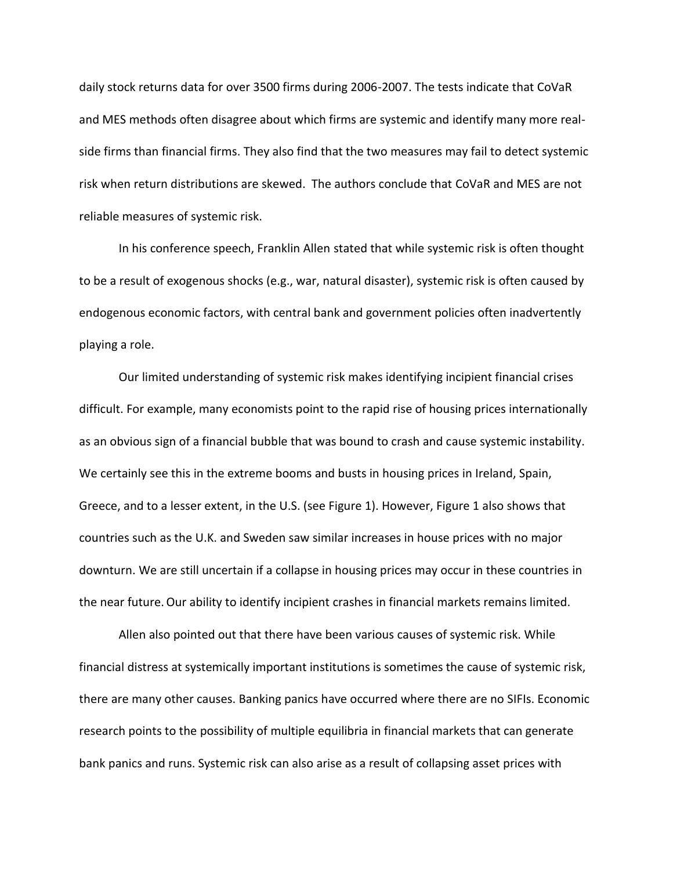daily stock returns data for over 3500 firms during 2006-2007. The tests indicate that CoVaR and MES methods often disagree about which firms are systemic and identify many more realside firms than financial firms. They also find that the two measures may fail to detect systemic risk when return distributions are skewed. The authors conclude that CoVaR and MES are not reliable measures of systemic risk.

In his conference speech, Franklin Allen stated that while systemic risk is often thought to be a result of exogenous shocks (e.g., war, natural disaster), systemic risk is often caused by endogenous economic factors, with central bank and government policies often inadvertently playing a role.

Our limited understanding of systemic risk makes identifying incipient financial crises difficult. For example, many economists point to the rapid rise of housing prices internationally as an obvious sign of a financial bubble that was bound to crash and cause systemic instability. We certainly see this in the extreme booms and busts in housing prices in Ireland, Spain, Greece, and to a lesser extent, in the U.S. (see Figure 1). However, Figure 1 also shows that countries such as the U.K. and Sweden saw similar increases in house prices with no major downturn. We are still uncertain if a collapse in housing prices may occur in these countries in the near future.Our ability to identify incipient crashes in financial markets remains limited.

Allen also pointed out that there have been various causes of systemic risk. While financial distress at systemically important institutions is sometimes the cause of systemic risk, there are many other causes. Banking panics have occurred where there are no SIFIs. Economic research points to the possibility of multiple equilibria in financial markets that can generate bank panics and runs. Systemic risk can also arise as a result of collapsing asset prices with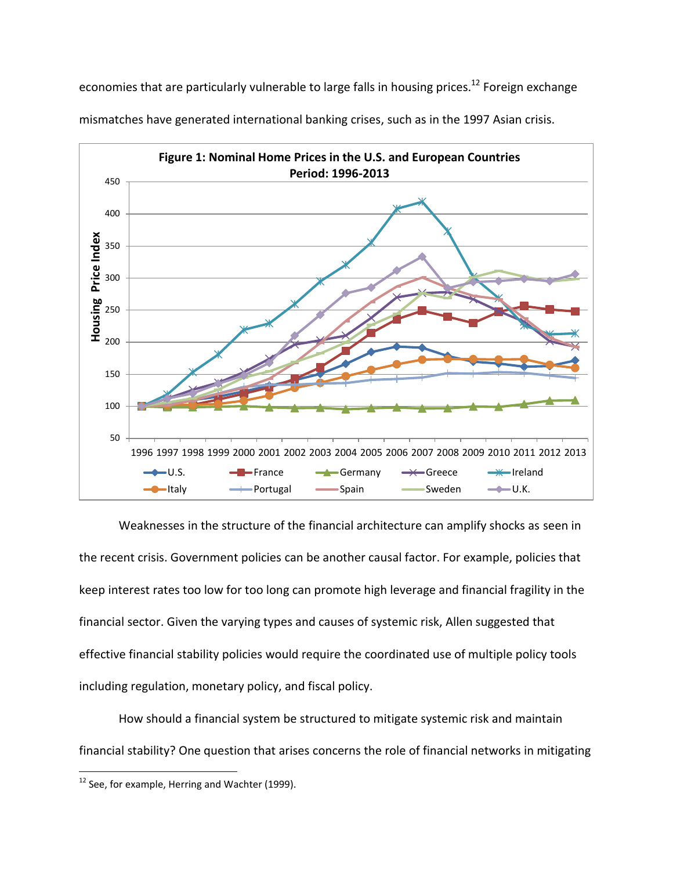economies that are particularly vulnerable to large falls in housing prices.<sup>12</sup> Foreign exchange



mismatches have generated international banking crises, such as in the 1997 Asian crisis.

Weaknesses in the structure of the financial architecture can amplify shocks as seen in the recent crisis. Government policies can be another causal factor. For example, policies that keep interest rates too low for too long can promote high leverage and financial fragility in the financial sector. Given the varying types and causes of systemic risk, Allen suggested that effective financial stability policies would require the coordinated use of multiple policy tools including regulation, monetary policy, and fiscal policy.

How should a financial system be structured to mitigate systemic risk and maintain financial stability? One question that arises concerns the role of financial networks in mitigating

 $12$  See, for example, Herring and Wachter (1999).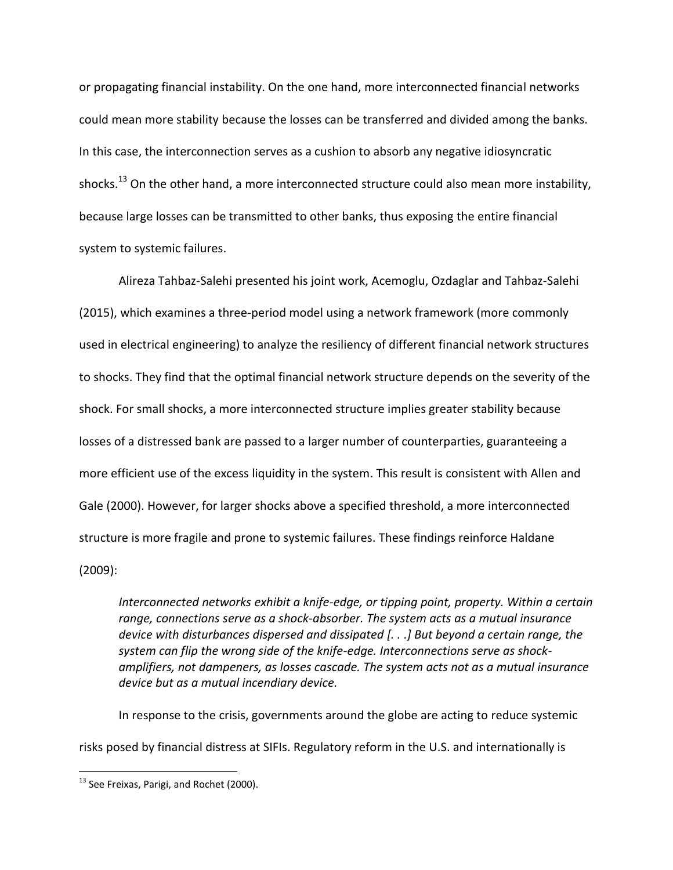or propagating financial instability. On the one hand, more interconnected financial networks could mean more stability because the losses can be transferred and divided among the banks. In this case, the interconnection serves as a cushion to absorb any negative idiosyncratic shocks.<sup>13</sup> On the other hand, a more interconnected structure could also mean more instability, because large losses can be transmitted to other banks, thus exposing the entire financial system to systemic failures.

Alireza Tahbaz-Salehi presented his joint work, Acemoglu, Ozdaglar and Tahbaz-Salehi (2015), which examines a three-period model using a network framework (more commonly used in electrical engineering) to analyze the resiliency of different financial network structures to shocks. They find that the optimal financial network structure depends on the severity of the shock. For small shocks, a more interconnected structure implies greater stability because losses of a distressed bank are passed to a larger number of counterparties, guaranteeing a more efficient use of the excess liquidity in the system. This result is consistent with Allen and Gale (2000). However, for larger shocks above a specified threshold, a more interconnected structure is more fragile and prone to systemic failures. These findings reinforce Haldane (2009):

*Interconnected networks exhibit a knife-edge, or tipping point, property. Within a certain range, connections serve as a shock-absorber. The system acts as a mutual insurance device with disturbances dispersed and dissipated [. . .] But beyond a certain range, the system can flip the wrong side of the knife-edge. Interconnections serve as shockamplifiers, not dampeners, as losses cascade. The system acts not as a mutual insurance device but as a mutual incendiary device.*

In response to the crisis, governments around the globe are acting to reduce systemic risks posed by financial distress at SIFIs. Regulatory reform in the U.S. and internationally is

<sup>&</sup>lt;sup>13</sup> See Freixas, Parigi, and Rochet (2000).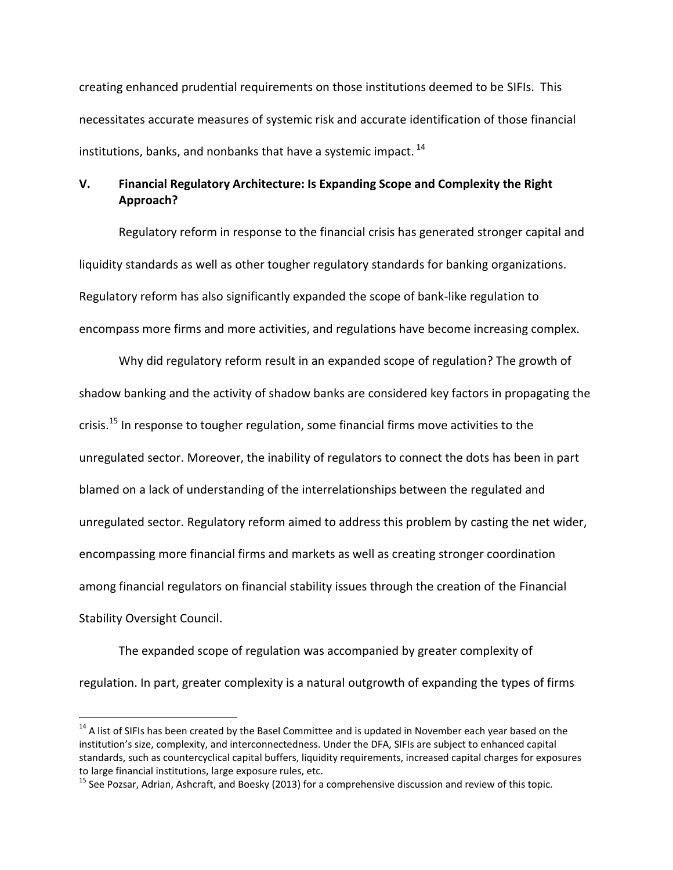creating enhanced prudential requirements on those institutions deemed to be SIFIs. This necessitates accurate measures of systemic risk and accurate identification of those financial institutions, banks, and nonbanks that have a systemic impact.  $^{14}$ 

# **V. Financial Regulatory Architecture: Is Expanding Scope and Complexity the Right Approach?**

Regulatory reform in response to the financial crisis has generated stronger capital and liquidity standards as well as other tougher regulatory standards for banking organizations. Regulatory reform has also significantly expanded the scope of bank-like regulation to encompass more firms and more activities, and regulations have become increasing complex.

Why did regulatory reform result in an expanded scope of regulation? The growth of shadow banking and the activity of shadow banks are considered key factors in propagating the crisis.<sup>15</sup> In response to tougher regulation, some financial firms move activities to the unregulated sector. Moreover, the inability of regulators to connect the dots has been in part blamed on a lack of understanding of the interrelationships between the regulated and unregulated sector. Regulatory reform aimed to address this problem by casting the net wider, encompassing more financial firms and markets as well as creating stronger coordination among financial regulators on financial stability issues through the creation of the Financial Stability Oversight Council.

The expanded scope of regulation was accompanied by greater complexity of regulation. In part, greater complexity is a natural outgrowth of expanding the types of firms

l

<sup>&</sup>lt;sup>14</sup> A list of SIFIs has been created by the Basel Committee and is updated in November each year based on the institution's size, complexity, and interconnectedness. Under the DFA, SIFIs are subject to enhanced capital standards, such as countercyclical capital buffers, liquidity requirements, increased capital charges for exposures to large financial institutions, large exposure rules, etc.

<sup>&</sup>lt;sup>15</sup> See Pozsar, Adrian, Ashcraft, and Boesky (2013) for a comprehensive discussion and review of this topic.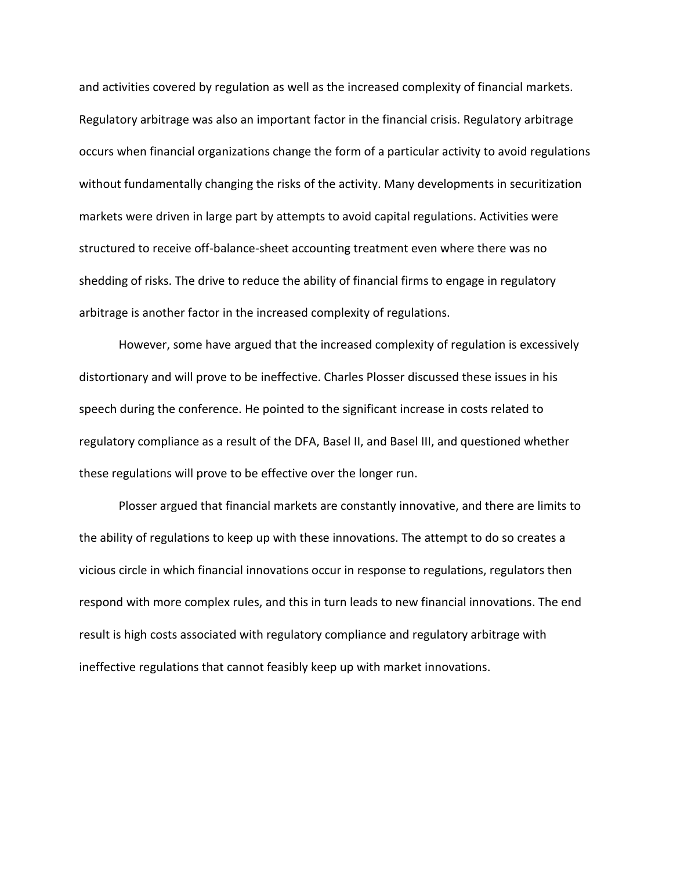and activities covered by regulation as well as the increased complexity of financial markets. Regulatory arbitrage was also an important factor in the financial crisis. Regulatory arbitrage occurs when financial organizations change the form of a particular activity to avoid regulations without fundamentally changing the risks of the activity. Many developments in securitization markets were driven in large part by attempts to avoid capital regulations. Activities were structured to receive off-balance-sheet accounting treatment even where there was no shedding of risks. The drive to reduce the ability of financial firms to engage in regulatory arbitrage is another factor in the increased complexity of regulations.

However, some have argued that the increased complexity of regulation is excessively distortionary and will prove to be ineffective. Charles Plosser discussed these issues in his speech during the conference. He pointed to the significant increase in costs related to regulatory compliance as a result of the DFA, Basel II, and Basel III, and questioned whether these regulations will prove to be effective over the longer run.

Plosser argued that financial markets are constantly innovative, and there are limits to the ability of regulations to keep up with these innovations. The attempt to do so creates a vicious circle in which financial innovations occur in response to regulations, regulators then respond with more complex rules, and this in turn leads to new financial innovations. The end result is high costs associated with regulatory compliance and regulatory arbitrage with ineffective regulations that cannot feasibly keep up with market innovations.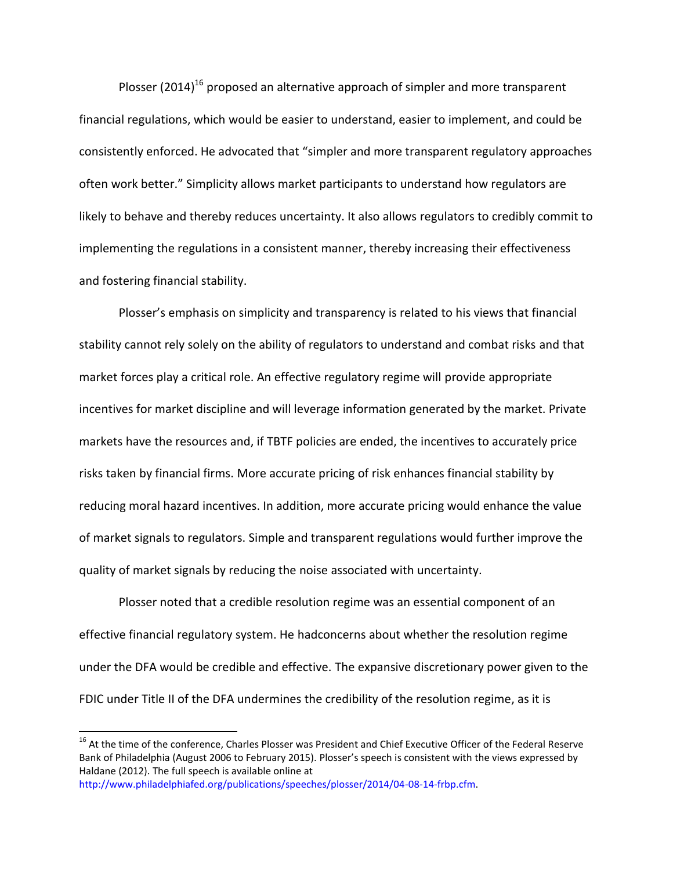Plosser (2014)<sup>16</sup> proposed an alternative approach of simpler and more transparent financial regulations, which would be easier to understand, easier to implement, and could be consistently enforced. He advocated that "simpler and more transparent regulatory approaches often work better." Simplicity allows market participants to understand how regulators are likely to behave and thereby reduces uncertainty. It also allows regulators to credibly commit to implementing the regulations in a consistent manner, thereby increasing their effectiveness and fostering financial stability.

Plosser's emphasis on simplicity and transparency is related to his views that financial stability cannot rely solely on the ability of regulators to understand and combat risks and that market forces play a critical role. An effective regulatory regime will provide appropriate incentives for market discipline and will leverage information generated by the market. Private markets have the resources and, if TBTF policies are ended, the incentives to accurately price risks taken by financial firms. More accurate pricing of risk enhances financial stability by reducing moral hazard incentives. In addition, more accurate pricing would enhance the value of market signals to regulators. Simple and transparent regulations would further improve the quality of market signals by reducing the noise associated with uncertainty.

Plosser noted that a credible resolution regime was an essential component of an effective financial regulatory system. He hadconcerns about whether the resolution regime under the DFA would be credible and effective. The expansive discretionary power given to the FDIC under Title II of the DFA undermines the credibility of the resolution regime, as it is

 $\overline{a}$ 

<sup>&</sup>lt;sup>16</sup> At the time of the conference, Charles Plosser was President and Chief Executive Officer of the Federal Reserve Bank of Philadelphia (August 2006 to February 2015). Plosser's speech is consistent with the views expressed by Haldane (2012). The full speech is available online at

[http://www.philadelphiafed.org/publications/speeches/plosser/2014/04-08-14-frbp.cfm.](http://www.philadelphiafed.org/publications/speeches/plosser/2014/04-08-14-frbp.cfm)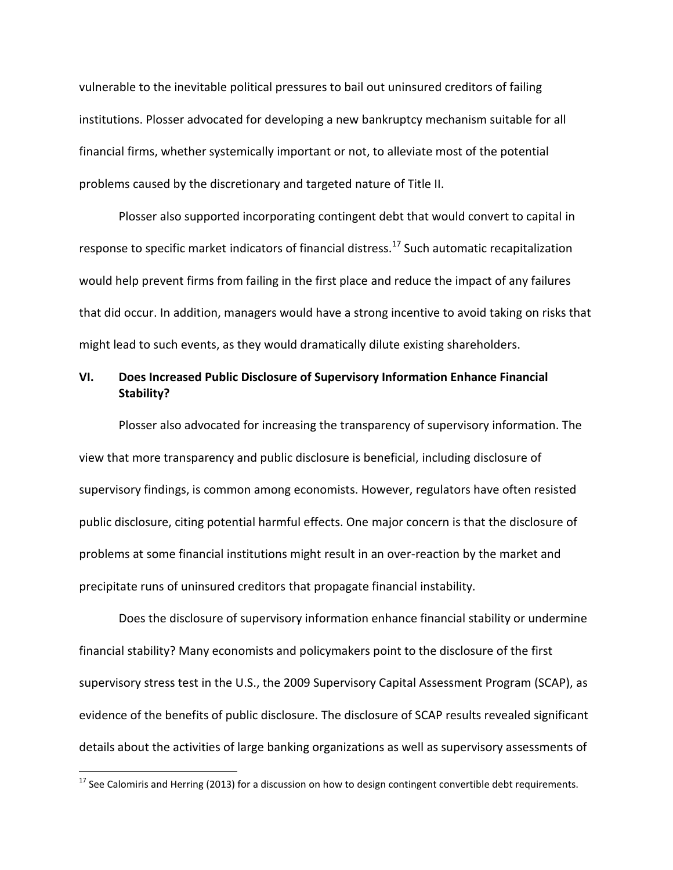vulnerable to the inevitable political pressures to bail out uninsured creditors of failing institutions. Plosser advocated for developing a new bankruptcy mechanism suitable for all financial firms, whether systemically important or not, to alleviate most of the potential problems caused by the discretionary and targeted nature of Title II.

Plosser also supported incorporating contingent debt that would convert to capital in response to specific market indicators of financial distress.<sup>17</sup> Such automatic recapitalization would help prevent firms from failing in the first place and reduce the impact of any failures that did occur. In addition, managers would have a strong incentive to avoid taking on risks that might lead to such events, as they would dramatically dilute existing shareholders.

# **VI. Does Increased Public Disclosure of Supervisory Information Enhance Financial Stability?**

Plosser also advocated for increasing the transparency of supervisory information. The view that more transparency and public disclosure is beneficial, including disclosure of supervisory findings, is common among economists. However, regulators have often resisted public disclosure, citing potential harmful effects. One major concern is that the disclosure of problems at some financial institutions might result in an over-reaction by the market and precipitate runs of uninsured creditors that propagate financial instability.

Does the disclosure of supervisory information enhance financial stability or undermine financial stability? Many economists and policymakers point to the disclosure of the first supervisory stress test in the U.S., the 2009 Supervisory Capital Assessment Program (SCAP), as evidence of the benefits of public disclosure. The disclosure of SCAP results revealed significant details about the activities of large banking organizations as well as supervisory assessments of

<sup>&</sup>lt;sup>17</sup> See Calomiris and Herring (2013) for a discussion on how to design contingent convertible debt requirements.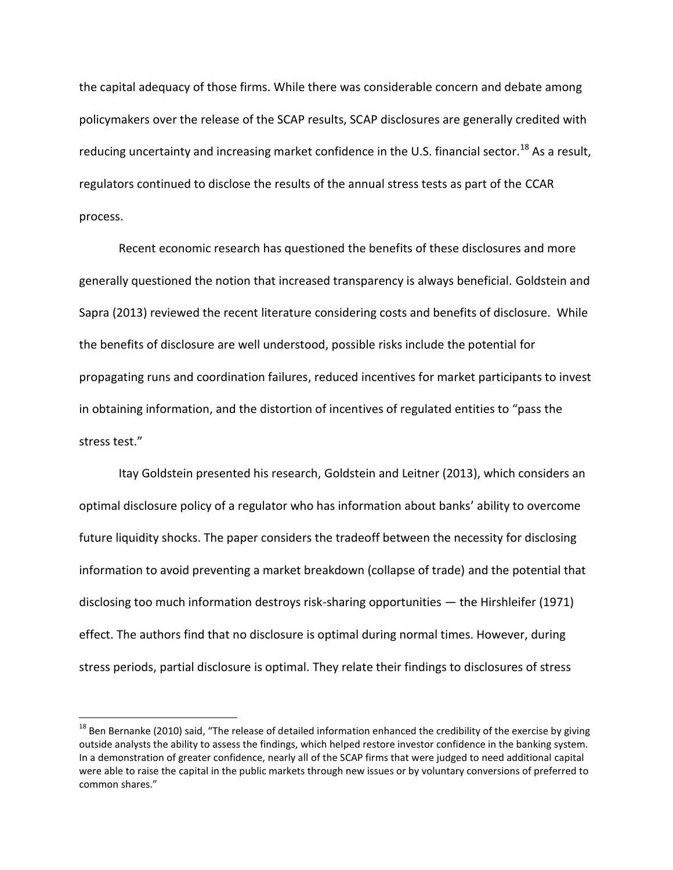the capital adequacy of those firms. While there was considerable concern and debate among policymakers over the release of the SCAP results, SCAP disclosures are generally credited with reducing uncertainty and increasing market confidence in the U.S. financial sector.<sup>18</sup> As a result. regulators continued to disclose the results of the annual stress tests as part of the CCAR process.

Recent economic research has questioned the benefits of these disclosures and more generally questioned the notion that increased transparency is always beneficial. Goldstein and Sapra (2013) reviewed the recent literature considering costs and benefits of disclosure. While the benefits of disclosure are well understood, possible risks include the potential for propagating runs and coordination failures, reduced incentives for market participants to invest in obtaining information, and the distortion of incentives of regulated entities to "pass the stress test."

Itay Goldstein presented his research, Goldstein and Leitner (2013), which considers an optimal disclosure policy of a regulator who has information about banks' ability to overcome future liquidity shocks. The paper considers the tradeoff between the necessity for disclosing information to avoid preventing a market breakdown (collapse of trade) and the potential that disclosing too much information destroys risk-sharing opportunities — the Hirshleifer (1971) effect. The authors find that no disclosure is optimal during normal times. However, during stress periods, partial disclosure is optimal. They relate their findings to disclosures of stress

l

<sup>&</sup>lt;sup>18</sup> Ben Bernanke (2010) said, "The release of detailed information enhanced the credibility of the exercise by giving outside analysts the ability to assess the findings, which helped restore investor confidence in the banking system. In a demonstration of greater confidence, nearly all of the SCAP firms that were judged to need additional capital were able to raise the capital in the public markets through new issues or by voluntary conversions of preferred to common shares."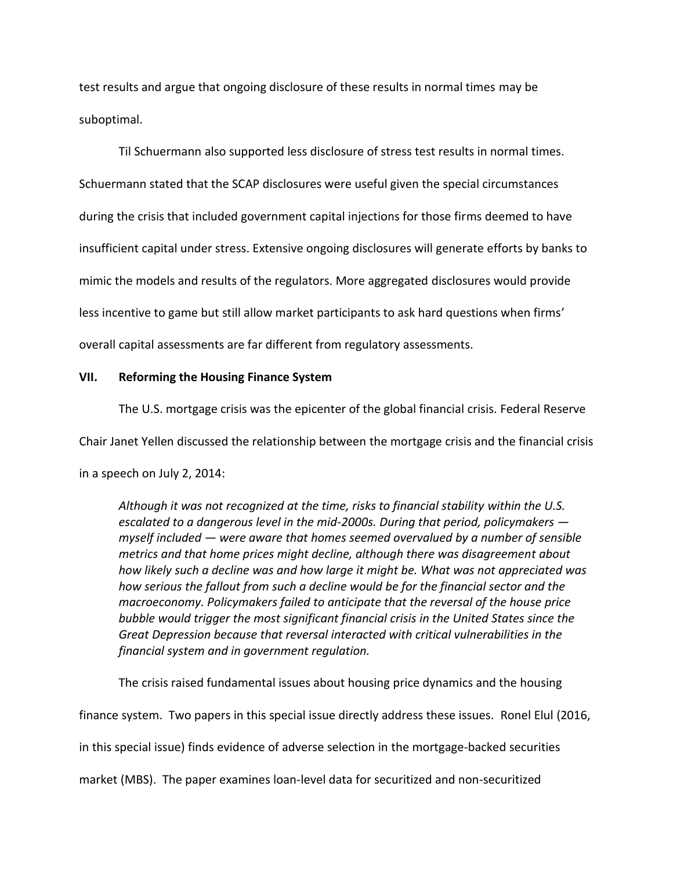test results and argue that ongoing disclosure of these results in normal times may be suboptimal.

Til Schuermann also supported less disclosure of stress test results in normal times. Schuermann stated that the SCAP disclosures were useful given the special circumstances during the crisis that included government capital injections for those firms deemed to have insufficient capital under stress. Extensive ongoing disclosures will generate efforts by banks to mimic the models and results of the regulators. More aggregated disclosures would provide less incentive to game but still allow market participants to ask hard questions when firms' overall capital assessments are far different from regulatory assessments.

## **VII. Reforming the Housing Finance System**

The U.S. mortgage crisis was the epicenter of the global financial crisis. Federal Reserve

Chair Janet Yellen discussed the relationship between the mortgage crisis and the financial crisis

in a speech on July 2, 2014:

*Although it was not recognized at the time, risks to financial stability within the U.S. escalated to a dangerous level in the mid-2000s. During that period, policymakers myself included — were aware that homes seemed overvalued by a number of sensible metrics and that home prices might decline, although there was disagreement about how likely such a decline was and how large it might be. What was not appreciated was how serious the fallout from such a decline would be for the financial sector and the macroeconomy. Policymakers failed to anticipate that the reversal of the house price bubble would trigger the most significant financial crisis in the United States since the Great Depression because that reversal interacted with critical vulnerabilities in the financial system and in government regulation.*

The crisis raised fundamental issues about housing price dynamics and the housing finance system. Two papers in this special issue directly address these issues. Ronel Elul (2016, in this special issue) finds evidence of adverse selection in the mortgage-backed securities market (MBS). The paper examines loan-level data for securitized and non-securitized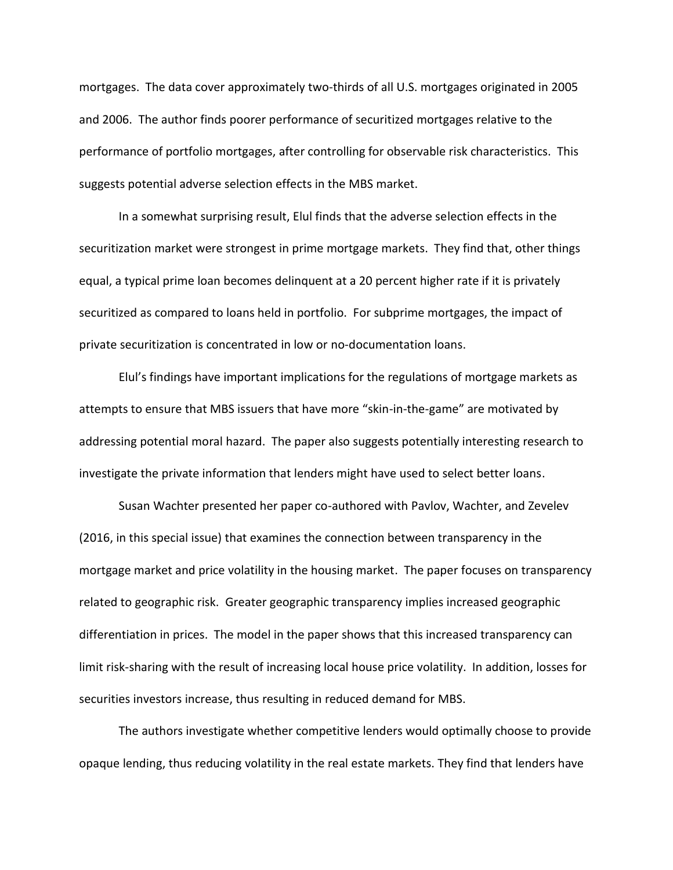mortgages. The data cover approximately two-thirds of all U.S. mortgages originated in 2005 and 2006. The author finds poorer performance of securitized mortgages relative to the performance of portfolio mortgages, after controlling for observable risk characteristics. This suggests potential adverse selection effects in the MBS market.

In a somewhat surprising result, Elul finds that the adverse selection effects in the securitization market were strongest in prime mortgage markets. They find that, other things equal, a typical prime loan becomes delinquent at a 20 percent higher rate if it is privately securitized as compared to loans held in portfolio. For subprime mortgages, the impact of private securitization is concentrated in low or no-documentation loans.

Elul's findings have important implications for the regulations of mortgage markets as attempts to ensure that MBS issuers that have more "skin-in-the-game" are motivated by addressing potential moral hazard. The paper also suggests potentially interesting research to investigate the private information that lenders might have used to select better loans.

Susan Wachter presented her paper co-authored with Pavlov, Wachter, and Zevelev (2016, in this special issue) that examines the connection between transparency in the mortgage market and price volatility in the housing market. The paper focuses on transparency related to geographic risk. Greater geographic transparency implies increased geographic differentiation in prices. The model in the paper shows that this increased transparency can limit risk-sharing with the result of increasing local house price volatility. In addition, losses for securities investors increase, thus resulting in reduced demand for MBS.

The authors investigate whether competitive lenders would optimally choose to provide opaque lending, thus reducing volatility in the real estate markets. They find that lenders have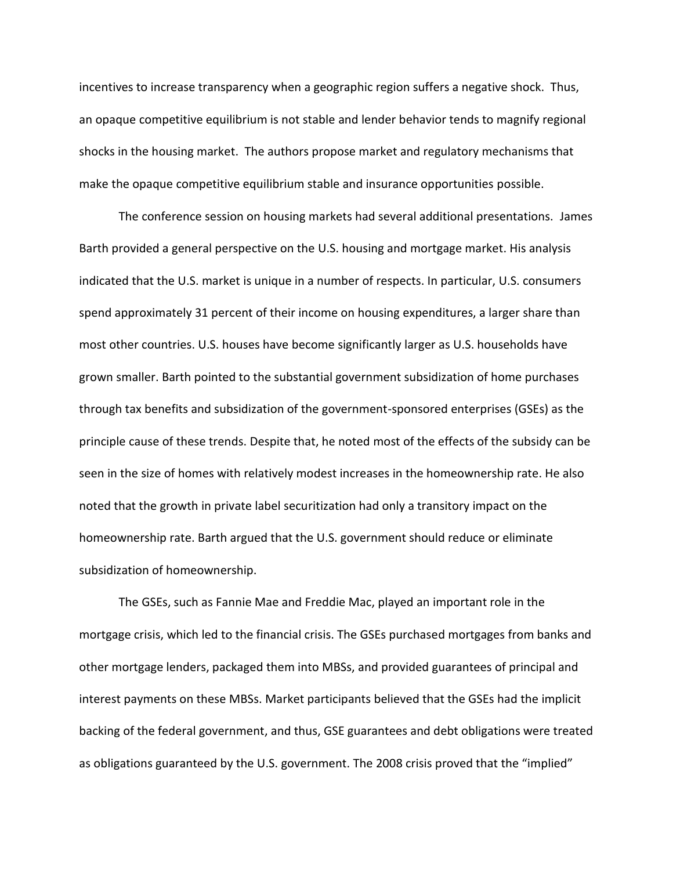incentives to increase transparency when a geographic region suffers a negative shock. Thus, an opaque competitive equilibrium is not stable and lender behavior tends to magnify regional shocks in the housing market. The authors propose market and regulatory mechanisms that make the opaque competitive equilibrium stable and insurance opportunities possible.

The conference session on housing markets had several additional presentations. James Barth provided a general perspective on the U.S. housing and mortgage market. His analysis indicated that the U.S. market is unique in a number of respects. In particular, U.S. consumers spend approximately 31 percent of their income on housing expenditures, a larger share than most other countries. U.S. houses have become significantly larger as U.S. households have grown smaller. Barth pointed to the substantial government subsidization of home purchases through tax benefits and subsidization of the government-sponsored enterprises (GSEs) as the principle cause of these trends. Despite that, he noted most of the effects of the subsidy can be seen in the size of homes with relatively modest increases in the homeownership rate. He also noted that the growth in private label securitization had only a transitory impact on the homeownership rate. Barth argued that the U.S. government should reduce or eliminate subsidization of homeownership.

The GSEs, such as Fannie Mae and Freddie Mac, played an important role in the mortgage crisis, which led to the financial crisis. The GSEs purchased mortgages from banks and other mortgage lenders, packaged them into MBSs, and provided guarantees of principal and interest payments on these MBSs. Market participants believed that the GSEs had the implicit backing of the federal government, and thus, GSE guarantees and debt obligations were treated as obligations guaranteed by the U.S. government. The 2008 crisis proved that the "implied"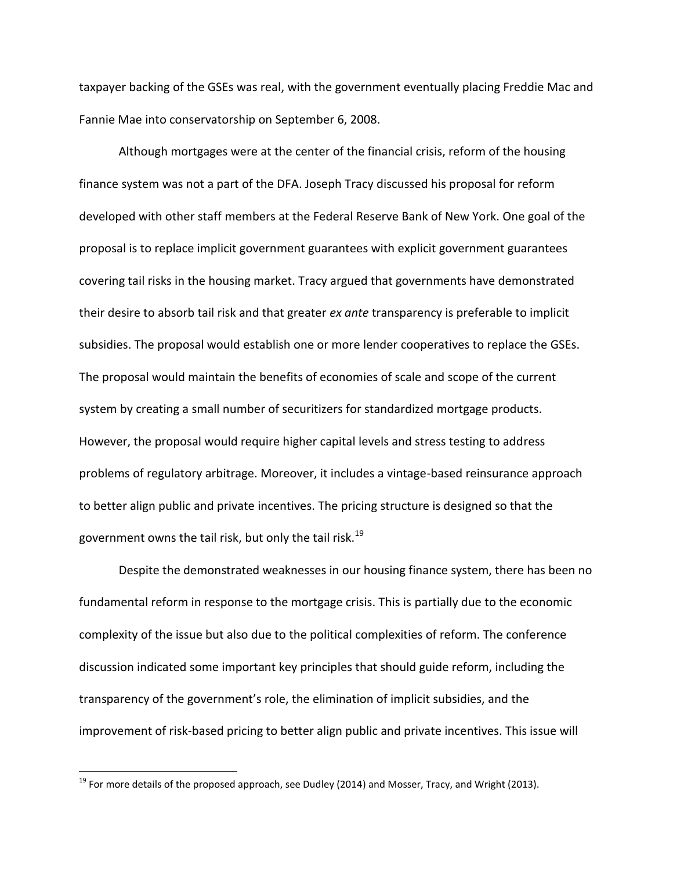taxpayer backing of the GSEs was real, with the government eventually placing Freddie Mac and Fannie Mae into conservatorship on September 6, 2008.

Although mortgages were at the center of the financial crisis, reform of the housing finance system was not a part of the DFA. Joseph Tracy discussed his proposal for reform developed with other staff members at the Federal Reserve Bank of New York. One goal of the proposal is to replace implicit government guarantees with explicit government guarantees covering tail risks in the housing market. Tracy argued that governments have demonstrated their desire to absorb tail risk and that greater *ex ante* transparency is preferable to implicit subsidies. The proposal would establish one or more lender cooperatives to replace the GSEs. The proposal would maintain the benefits of economies of scale and scope of the current system by creating a small number of securitizers for standardized mortgage products. However, the proposal would require higher capital levels and stress testing to address problems of regulatory arbitrage. Moreover, it includes a vintage-based reinsurance approach to better align public and private incentives. The pricing structure is designed so that the government owns the tail risk, but only the tail risk.<sup>19</sup>

Despite the demonstrated weaknesses in our housing finance system, there has been no fundamental reform in response to the mortgage crisis. This is partially due to the economic complexity of the issue but also due to the political complexities of reform. The conference discussion indicated some important key principles that should guide reform, including the transparency of the government's role, the elimination of implicit subsidies, and the improvement of risk-based pricing to better align public and private incentives. This issue will

 $19$  For more details of the proposed approach, see Dudley (2014) and Mosser, Tracy, and Wright (2013).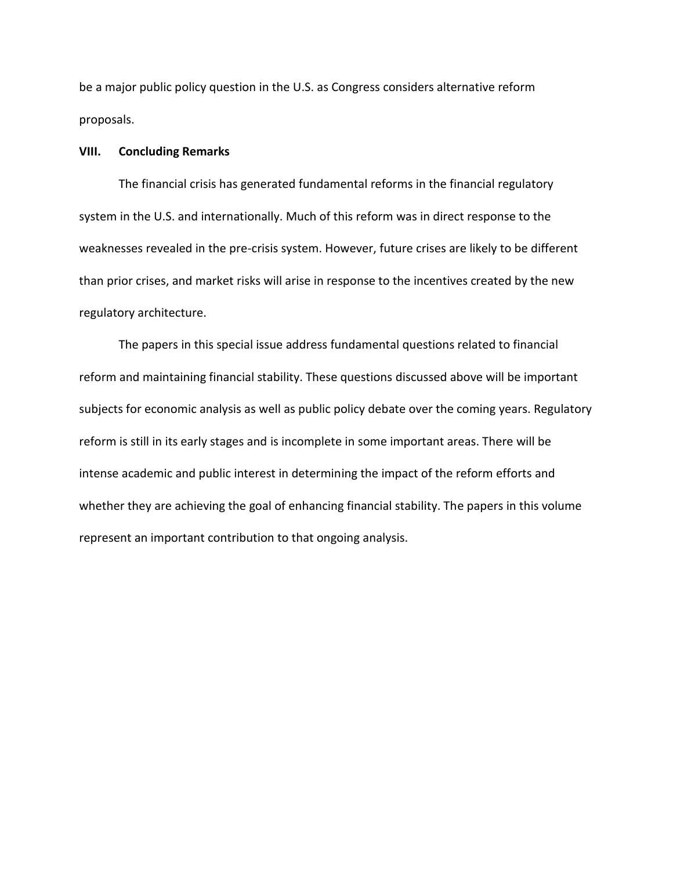be a major public policy question in the U.S. as Congress considers alternative reform proposals.

### **VIII. Concluding Remarks**

The financial crisis has generated fundamental reforms in the financial regulatory system in the U.S. and internationally. Much of this reform was in direct response to the weaknesses revealed in the pre-crisis system. However, future crises are likely to be different than prior crises, and market risks will arise in response to the incentives created by the new regulatory architecture.

The papers in this special issue address fundamental questions related to financial reform and maintaining financial stability. These questions discussed above will be important subjects for economic analysis as well as public policy debate over the coming years. Regulatory reform is still in its early stages and is incomplete in some important areas. There will be intense academic and public interest in determining the impact of the reform efforts and whether they are achieving the goal of enhancing financial stability. The papers in this volume represent an important contribution to that ongoing analysis.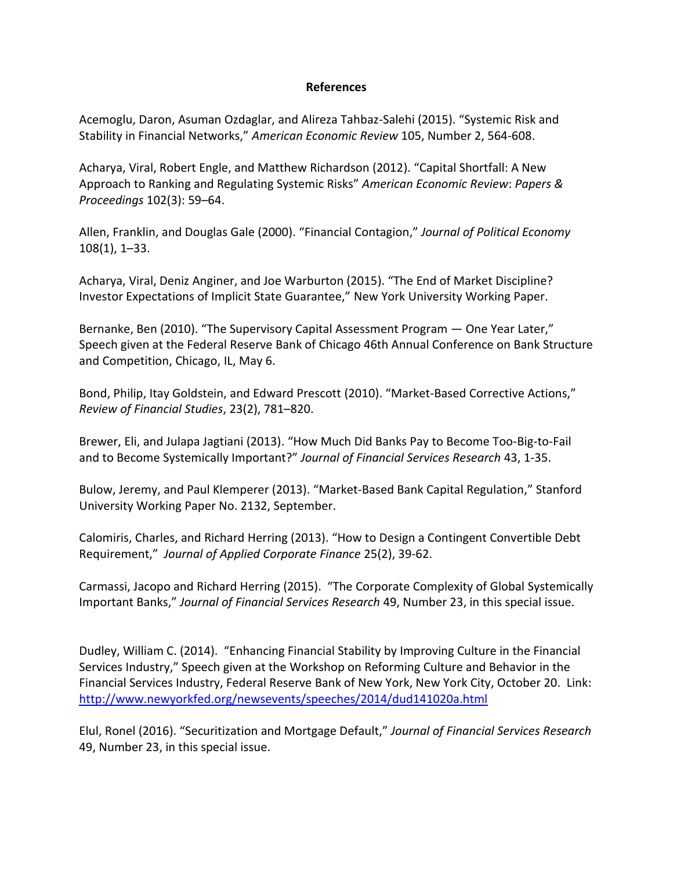## **References**

Acemoglu, Daron, Asuman Ozdaglar, and Alireza Tahbaz-Salehi (2015). "Systemic Risk and Stability in Financial Networks," *American Economic Review* 105, Number 2, 564-608.

Acharya, Viral, Robert Engle, and Matthew Richardson (2012). "Capital Shortfall: A New Approach to Ranking and Regulating Systemic Risks" *American Economic Review*: *Papers & Proceedings* 102(3): 59–64.

Allen, Franklin, and Douglas Gale (2000). "Financial Contagion," *Journal of Political Economy* 108(1), 1–33.

Acharya, Viral, Deniz Anginer, and Joe Warburton (2015). "The End of Market Discipline? Investor Expectations of Implicit State Guarantee," New York University Working Paper.

Bernanke, Ben (2010). "The Supervisory Capital Assessment Program — One Year Later," Speech given at the Federal Reserve Bank of Chicago 46th Annual Conference on Bank Structure and Competition, Chicago, IL, May 6.

Bond, Philip, Itay Goldstein, and Edward Prescott (2010). "Market-Based Corrective Actions," *Review of Financial Studies*, 23(2), 781–820.

Brewer, Eli, and Julapa Jagtiani (2013). "How Much Did Banks Pay to Become Too-Big-to-Fail and to Become Systemically Important?" *Journal of Financial Services Research* 43, 1-35.

Bulow, Jeremy, and Paul Klemperer (2013). "Market-Based Bank Capital Regulation," Stanford University Working Paper No. 2132, September.

Calomiris, Charles, and Richard Herring (2013). "How to Design a Contingent Convertible Debt Requirement," *Journal of Applied Corporate Finance* 25(2), 39-62.

Carmassi, Jacopo and Richard Herring (2015). "The Corporate Complexity of Global Systemically Important Banks," *Journal of Financial Services Research* 49, Number 23, in this special issue.

Dudley, William C. (2014). "Enhancing Financial Stability by Improving Culture in the Financial Services Industry," Speech given at the Workshop on Reforming Culture and Behavior in the Financial Services Industry, Federal Reserve Bank of New York, New York City, October 20. Link: <http://www.newyorkfed.org/newsevents/speeches/2014/dud141020a.html>

Elul, Ronel (2016). "Securitization and Mortgage Default," *Journal of Financial Services Research* 49, Number 23, in this special issue.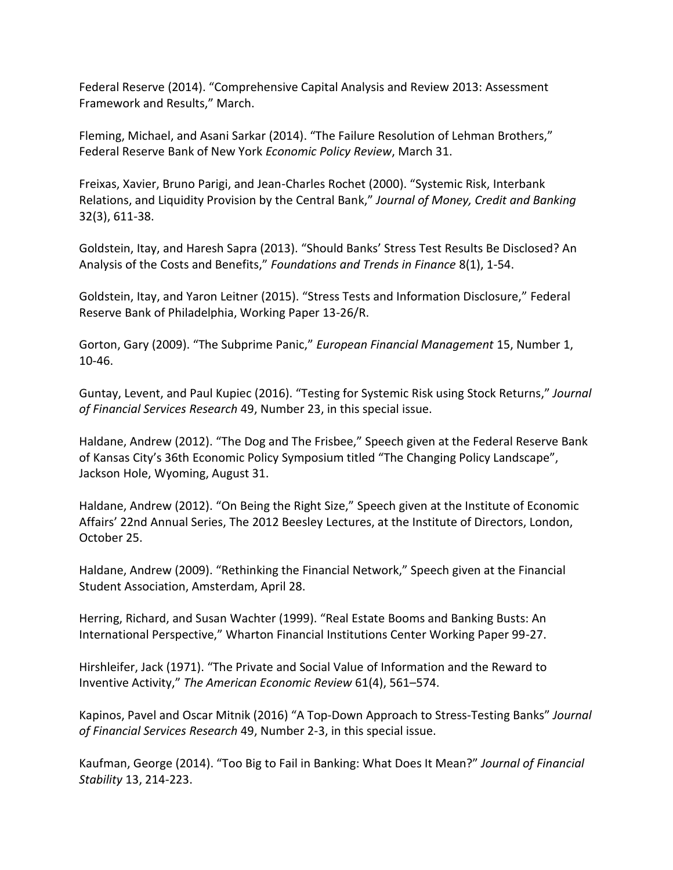Federal Reserve (2014). "Comprehensive Capital Analysis and Review 2013: Assessment Framework and Results," March.

Fleming, Michael, and Asani Sarkar (2014). "The Failure Resolution of Lehman Brothers," Federal Reserve Bank of New York *Economic Policy Review*, March 31.

Freixas, Xavier, Bruno Parigi, and Jean-Charles Rochet (2000). "Systemic Risk, Interbank Relations, and Liquidity Provision by the Central Bank," *Journal of Money, Credit and Banking* 32(3), 611-38.

Goldstein, Itay, and Haresh Sapra (2013). "Should Banks' Stress Test Results Be Disclosed? An Analysis of the Costs and Benefits," *Foundations and Trends in Finance* 8(1), 1-54.

Goldstein, Itay, and Yaron Leitner (2015). "Stress Tests and Information Disclosure," Federal Reserve Bank of Philadelphia, Working Paper 13-26/R.

Gorton, Gary (2009). "The Subprime Panic," *European Financial Management* 15, Number 1, 10-46.

Guntay, Levent, and Paul Kupiec (2016). "Testing for Systemic Risk using Stock Returns," *Journal of Financial Services Research* 49, Number 23, in this special issue.

Haldane, Andrew (2012). "The Dog and The Frisbee," Speech given at the Federal Reserve Bank of Kansas City's 36th Economic Policy Symposium titled "The Changing Policy Landscape", Jackson Hole, Wyoming, August 31.

Haldane, Andrew (2012). "On Being the Right Size," Speech given at the Institute of Economic Affairs' 22nd Annual Series, The 2012 Beesley Lectures, at the Institute of Directors, London, October 25.

Haldane, Andrew (2009). "Rethinking the Financial Network," Speech given at the Financial Student Association, Amsterdam, April 28.

Herring, Richard, and Susan Wachter (1999). "Real Estate Booms and Banking Busts: An International Perspective," Wharton Financial Institutions Center Working Paper 99-27.

Hirshleifer, Jack (1971). "The Private and Social Value of Information and the Reward to Inventive Activity," *The American Economic Review* 61(4), 561–574.

Kapinos, Pavel and Oscar Mitnik (2016) "A Top-Down Approach to Stress-Testing Banks" *Journal of Financial Services Research* 49, Number 2-3, in this special issue.

Kaufman, George (2014). "Too Big to Fail in Banking: What Does It Mean?" *Journal of Financial Stability* 13, 214-223.